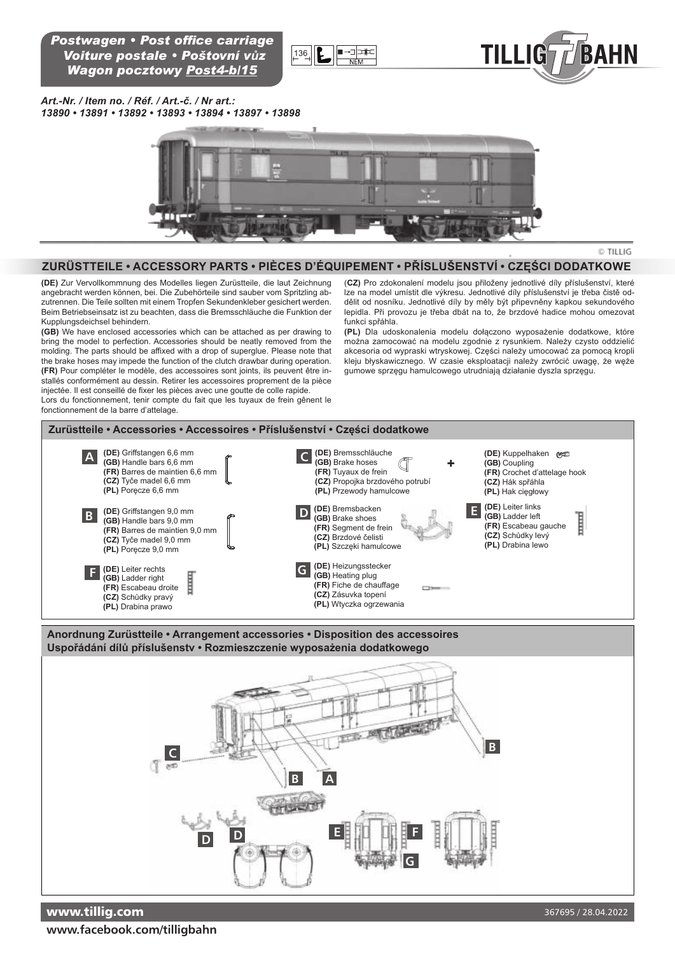*Postwagen • Post office carriage Voiture postale • Poštovní vůz Wagon pocztowy Post4-b/15*





*Art.-Nr. / Item no. / Réf. / Art.-č. / Nr art.: 13890 • 13891 • 13892 • 13893 • 13894 • 13897 • 13898* 



#### © TILLIG

### **Zurüstteile • Accessory pArts • piÈces D'ÉQuipeMeNt • Příslušenství • CZĘŚCI DODAtKOWe**

**(De)** Zur Vervollkommnung des Modelles liegen Zurüstteile, die laut Zeichnung angebracht werden können, bei. Die Zubehörteile sind sauber vom Spritzling abzutrennen. Die Teile sollten mit einem Tropfen Sekundenkleber gesichert werden. Beim Betriebseinsatz ist zu beachten, dass die Bremsschläuche die Funktion der Kupplungsdeichsel behindern.

**(GB)** We have enclosed accessories which can be attached as per drawing to bring the model to perfection. Accessories should be neatly removed from the molding. The parts should be affixed with a drop of superglue. Please note that the brake hoses may impede the function of the clutch drawbar during operation. **(Fr)** Pour compléter le modèle, des accessoires sont joints, ils peuvent être installés conformément au dessin. Retirer les accessoires proprement de la pièce injectée. Il est conseillé de fixer les pièces avec une goutte de colle rapide. Lors du fonctionnement, tenir compte du fait que les tuyaux de frein gênent le

fonctionnement de la barre d'attelage.

(**cZ)** Pro zdokonalení modelu jsou přiloženy jednotlivé díly příslušenství, které lze na model umístit dle výkresu. Jednotlivé díly příslušenství je třeba čistě oddělit od nosníku. Jednotlivé díly by měly být připevněny kapkou sekundového lepidla. Při provozu je třeba dbát na to, že brzdové hadice mohou omezovat funkci spřáhla.

**(pl)** Dla udoskonalenia modelu dołączono wyposażenie dodatkowe, które można zamocować na modelu zgodnie z rysunkiem. Należy czysto oddzielić akcesoria od wypraski wtryskowej. Części należy umocować za pomocą kropli kleju błyskawicznego. W czasie eksploatacji należy zwrócić uwagę, że węże gumowe sprzęgu hamulcowego utrudniają działanie dyszla sprzęgu.